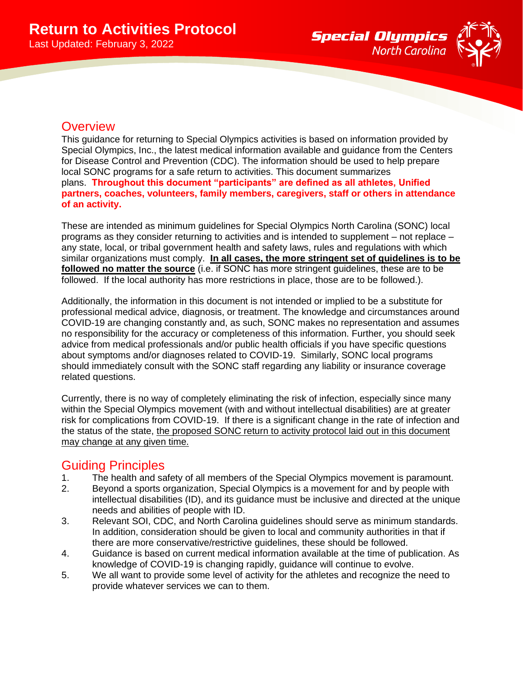

# **Overview**

This guidance for returning to Special Olympics activities is based on information provided by Special Olympics, Inc., the latest medical information available and guidance from the Centers for Disease Control and Prevention (CDC). The information should be used to help prepare local SONC programs for a safe return to activities. This document summarizes plans. **Throughout this document "participants" are defined as all athletes, Unified partners, coaches, volunteers, family members, caregivers, staff or others in attendance of an activity.**

These are intended as minimum guidelines for Special Olympics North Carolina (SONC) local programs as they consider returning to activities and is intended to supplement – not replace – any state, local, or tribal government health and safety laws, rules and regulations with which similar organizations must comply. **In all cases, the more stringent set of guidelines is to be followed no matter the source** (i.e. if SONC has more stringent guidelines, these are to be followed. If the local authority has more restrictions in place, those are to be followed.).

Additionally, the information in this document is not intended or implied to be a substitute for professional medical advice, diagnosis, or treatment. The knowledge and circumstances around COVID-19 are changing constantly and, as such, SONC makes no representation and assumes no responsibility for the accuracy or completeness of this information. Further, you should seek advice from medical professionals and/or public health officials if you have specific questions about symptoms and/or diagnoses related to COVID-19. Similarly, SONC local programs should immediately consult with the SONC staff regarding any liability or insurance coverage related questions.

Currently, there is no way of completely eliminating the risk of infection, especially since many within the Special Olympics movement (with and without intellectual disabilities) are at greater risk for complications from COVID-19. If there is a significant change in the rate of infection and the status of the state, the proposed SONC return to activity protocol laid out in this document may change at any given time.

# Guiding Principles

- 1. The health and safety of all members of the Special Olympics movement is paramount.
- 2. Beyond a sports organization, Special Olympics is a movement for and by people with intellectual disabilities (ID), and its guidance must be inclusive and directed at the unique needs and abilities of people with ID.
- 3. Relevant SOI, CDC, and North Carolina guidelines should serve as minimum standards. In addition, consideration should be given to local and community authorities in that if there are more conservative/restrictive guidelines, these should be followed.
- 4. Guidance is based on current medical information available at the time of publication. As knowledge of COVID-19 is changing rapidly, guidance will continue to evolve.
- 5. We all want to provide some level of activity for the athletes and recognize the need to provide whatever services we can to them.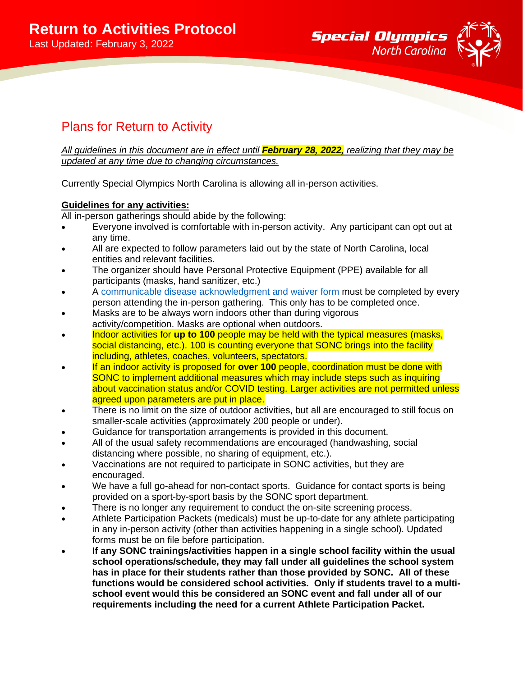

# Plans for Return to Activity

*All guidelines in this document are in effect until February 28, 2022, realizing that they may be updated at any time due to changing circumstances.*

Currently Special Olympics North Carolina is allowing all in-person activities.

## **Guidelines for any activities:**

All in-person gatherings should abide by the following:

- Everyone involved is comfortable with in-person activity. Any participant can opt out at any time.
- All are expected to follow parameters laid out by the state of North Carolina, local entities and relevant facilities.
- The organizer should have Personal Protective Equipment (PPE) available for all participants (masks, hand sanitizer, etc.)
- A [communicable disease acknowledgment and waiver form](https://forms.office.com/Pages/ResponsePage.aspx?id=hUQ6Ym-1YUKUYG4c8OYxXX7O8OVVeVtFk9jhrAB4p99UMjVPT0k1SVRSS0pNVFZMNEtJMEpNM0Y4MC4u) must be completed by every person attending the in-person gathering. This only has to be completed once.
- Masks are to be always worn indoors other than during vigorous activity/competition. Masks are optional when outdoors.
- Indoor activities for **up to 100** people may be held with the typical measures (masks, social distancing, etc.). 100 is counting everyone that SONC brings into the facility including, athletes, coaches, volunteers, spectators.
- If an indoor activity is proposed for **over 100** people, coordination must be done with SONC to implement additional measures which may include steps such as inquiring about vaccination status and/or COVID testing. Larger activities are not permitted unless agreed upon parameters are put in place.
- There is no limit on the size of outdoor activities, but all are encouraged to still focus on smaller-scale activities (approximately 200 people or under).
- Guidance for transportation arrangements is provided in this document.
- All of the usual safety recommendations are encouraged (handwashing, social distancing where possible, no sharing of equipment, etc.).
- Vaccinations are not required to participate in SONC activities, but they are encouraged.
- We have a full go-ahead for non-contact sports. Guidance for contact sports is being provided on a sport-by-sport basis by the SONC sport department.
- There is no longer any requirement to conduct the on-site screening process.
- Athlete Participation Packets (medicals) must be up-to-date for any athlete participating in any in-person activity (other than activities happening in a single school). Updated forms must be on file before participation.
- **If any SONC trainings/activities happen in a single school facility within the usual school operations/schedule, they may fall under all guidelines the school system has in place for their students rather than those provided by SONC. All of these functions would be considered school activities. Only if students travel to a multischool event would this be considered an SONC event and fall under all of our requirements including the need for a current Athlete Participation Packet.**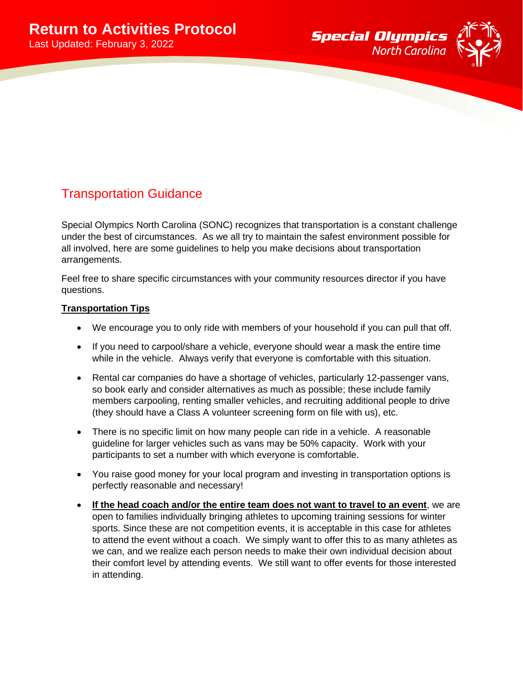

# Transportation Guidance

Special Olympics North Carolina (SONC) recognizes that transportation is a constant challenge under the best of circumstances. As we all try to maintain the safest environment possible for all involved, here are some guidelines to help you make decisions about transportation arrangements.

Feel free to share specific circumstances with your community resources director if you have questions.

### **Transportation Tips**

- We encourage you to only ride with members of your household if you can pull that off.
- If you need to carpool/share a vehicle, everyone should wear a mask the entire time while in the vehicle. Always verify that everyone is comfortable with this situation.
- Rental car companies do have a shortage of vehicles, particularly 12-passenger vans, so book early and consider alternatives as much as possible; these include family members carpooling, renting smaller vehicles, and recruiting additional people to drive (they should have a Class A volunteer screening form on file with us), etc.
- There is no specific limit on how many people can ride in a vehicle. A reasonable guideline for larger vehicles such as vans may be 50% capacity. Work with your participants to set a number with which everyone is comfortable.
- You raise good money for your local program and investing in transportation options is perfectly reasonable and necessary!
- **If the head coach and/or the entire team does not want to travel to an event**, we are open to families individually bringing athletes to upcoming training sessions for winter sports. Since these are not competition events, it is acceptable in this case for athletes to attend the event without a coach. We simply want to offer this to as many athletes as we can, and we realize each person needs to make their own individual decision about their comfort level by attending events. We still want to offer events for those interested in attending.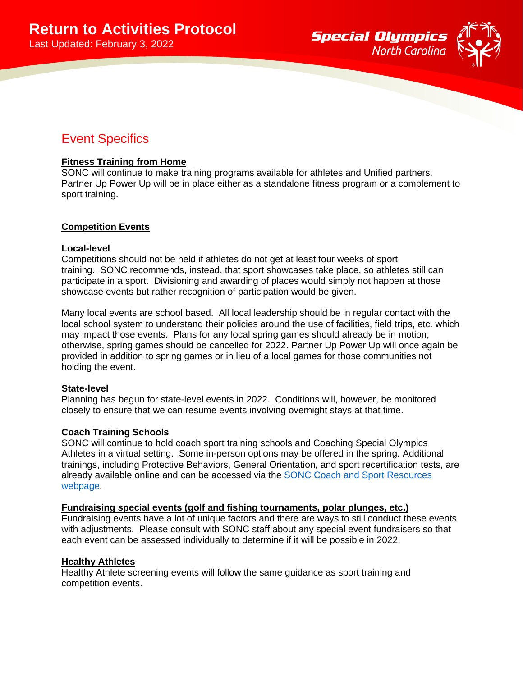

# Event Specifics

### **Fitness Training from Home**

SONC will continue to make training programs available for athletes and Unified partners. Partner Up Power Up will be in place either as a standalone fitness program or a complement to sport training.

#### **Competition Events**

#### **Local-level**

Competitions should not be held if athletes do not get at least four weeks of sport training. SONC recommends, instead, that sport showcases take place, so athletes still can participate in a sport. Divisioning and awarding of places would simply not happen at those showcase events but rather recognition of participation would be given.

Many local events are school based. All local leadership should be in regular contact with the local school system to understand their policies around the use of facilities, field trips, etc. which may impact those events. Plans for any local spring games should already be in motion; otherwise, spring games should be cancelled for 2022. Partner Up Power Up will once again be provided in addition to spring games or in lieu of a local games for those communities not holding the event.

#### **State-level**

Planning has begun for state-level events in 2022. Conditions will, however, be monitored closely to ensure that we can resume events involving overnight stays at that time.

#### **Coach Training Schools**

SONC will continue to hold coach sport training schools and Coaching Special Olympics Athletes in a virtual setting. Some in-person options may be offered in the spring. Additional trainings, including Protective Behaviors, General Orientation, and sport recertification tests, are already available online and can be accessed via the [SONC Coach and Sport Resources](https://sonc.net/get-involved/become-coach/coach-resources/)  [webpage.](https://sonc.net/get-involved/become-coach/coach-resources/)

#### **Fundraising special events (golf and fishing tournaments, polar plunges, etc.)**

Fundraising events have a lot of unique factors and there are ways to still conduct these events with adjustments. Please consult with SONC staff about any special event fundraisers so that each event can be assessed individually to determine if it will be possible in 2022.

#### **Healthy Athletes**

Healthy Athlete screening events will follow the same guidance as sport training and competition events.